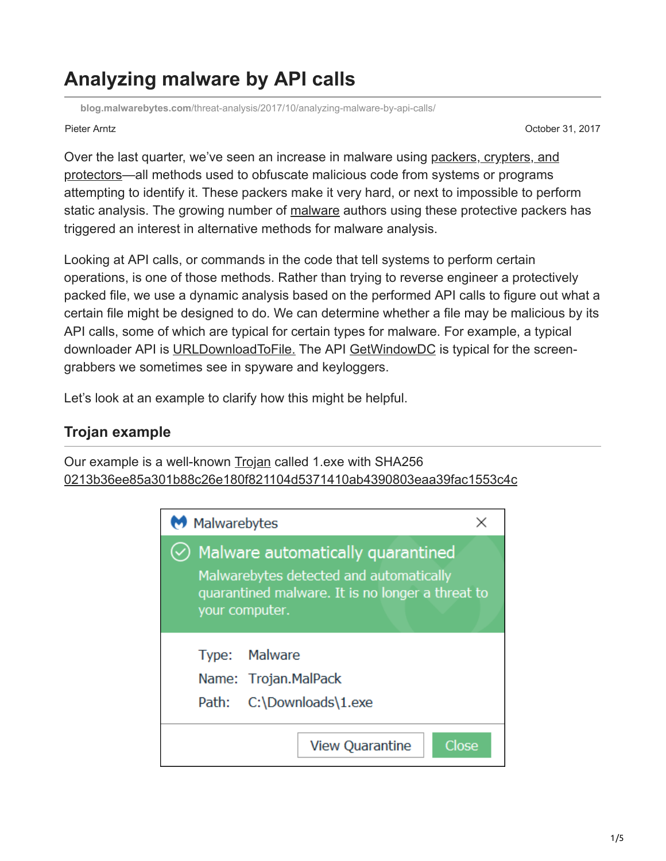# **Analyzing malware by API calls**

**blog.malwarebytes.com**[/threat-analysis/2017/10/analyzing-malware-by-api-calls/](https://blog.malwarebytes.com/threat-analysis/2017/10/analyzing-malware-by-api-calls/)

Pieter Arntz October 31, 2017

[Over the last quarter, we've seen an increase in malware using packers, crypters, and](https://blog.malwarebytes.com/cybercrime/malware/2017/03/explained-packer-crypter-and-protector/) protectors—all methods used to obfuscate malicious code from systems or programs attempting to identify it. These packers make it very hard, or next to impossible to perform static analysis. The growing number of [malware](https://www.malwarebytes.com/malware/) authors using these protective packers has triggered an interest in alternative methods for malware analysis.

Looking at API calls, or commands in the code that tell systems to perform certain operations, is one of those methods. Rather than trying to reverse engineer a protectively packed file, we use a dynamic analysis based on the performed API calls to figure out what a certain file might be designed to do. We can determine whether a file may be malicious by its API calls, some of which are typical for certain types for malware. For example, a typical downloader API is [URLDownloadToFile.](https://msdn.microsoft.com/en-us/library/ms775123(v=vs.85).aspx) The API [GetWindowDC](https://msdn.microsoft.com/en-us/library/windows/desktop/dd144947(v=vs.85).aspx) is typical for the screengrabbers we sometimes see in spyware and keyloggers.

Let's look at an example to clarify how this might be helpful.

# **Trojan example**

Our example is a well-known [Trojan](https://www.malwarebytes.com/trojan/) called 1.exe with SHA256 [0213b36ee85a301b88c26e180f821104d5371410ab4390803eaa39fac1553c4c](https://www.virustotal.com/#/file/0213b36ee85a301b88c26e180f821104d5371410ab4390803eaa39fac1553c4c/detection)

| M Malwarebytes                                                                                                                                               |  |
|--------------------------------------------------------------------------------------------------------------------------------------------------------------|--|
| $\oslash$ Malware automatically quarantined<br>Malwarebytes detected and automatically<br>quarantined malware. It is no longer a threat to<br>your computer. |  |
| Type: Malware<br>Name: Trojan.MalPack<br>C:\Downloads\1.exe<br>Path:                                                                                         |  |
| Close<br><b>View Quarantine</b>                                                                                                                              |  |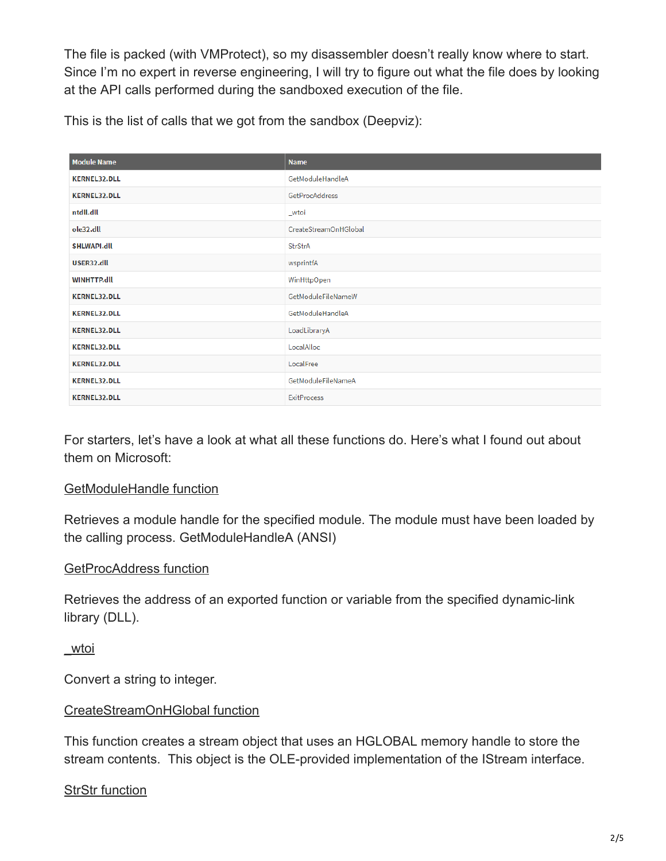The file is packed (with VMProtect), so my disassembler doesn't really know where to start. Since I'm no expert in reverse engineering, I will try to figure out what the file does by looking at the API calls performed during the sandboxed execution of the file.

This is the list of calls that we got from the sandbox (Deepviz):

| <b>Module Name</b>  | <b>Name</b>               |
|---------------------|---------------------------|
| <b>KERNEL32.DLL</b> | GetModuleHandleA          |
| <b>KERNEL32.DLL</b> | GetProcAddress            |
| ntdll.dll           | _wtoi                     |
| ole32.dll           | CreateStreamOnHGlobal     |
| <b>SHLWAPI.dll</b>  | <b>StrStrA</b>            |
| USER32.dll          | wsprintfA                 |
| <b>WINHTTP.dll</b>  | WinHttpOpen               |
| <b>KERNEL32.DLL</b> | GetModuleFileNameW        |
| <b>KERNEL32.DLL</b> | GetModuleHandleA          |
| <b>KERNEL32.DLL</b> | LoadLibraryA              |
| <b>KERNEL32.DLL</b> | LocalAlloc                |
| <b>KERNEL32.DLL</b> | LocalFree                 |
| <b>KERNEL32.DLL</b> | <b>GetModuleFileNameA</b> |
| <b>KERNEL32.DLL</b> | <b>ExitProcess</b>        |

For starters, let's have a look at what all these functions do. Here's what I found out about them on Microsoft:

### [GetModuleHandle function](https://msdn.microsoft.com/nl-nl/library/windows/desktop/ms683199(v=vs.85).aspx)

Retrieves a module handle for the specified module. The module must have been loaded by the calling process. GetModuleHandleA (ANSI)

# [GetProcAddress function](https://msdn.microsoft.com/nl-nl/library/windows/desktop/ms683212(v=vs.85).aspx)

Retrieves the address of an exported function or variable from the specified dynamic-link library (DLL).

[\\_wtoi](https://msdn.microsoft.com/en-us/library/yd5xkb5c.aspx)

Convert a string to integer.

# [CreateStreamOnHGlobal function](https://msdn.microsoft.com/nl-nl/library/windows/desktop/aa378980(v=vs.85).aspx)

This function creates a stream object that uses an HGLOBAL memory handle to store the stream contents. This object is the OLE-provided implementation of the IStream interface.

# [StrStr function](https://msdn.microsoft.com/en-us/library/windows/desktop/bb773436(v=vs.85).aspx)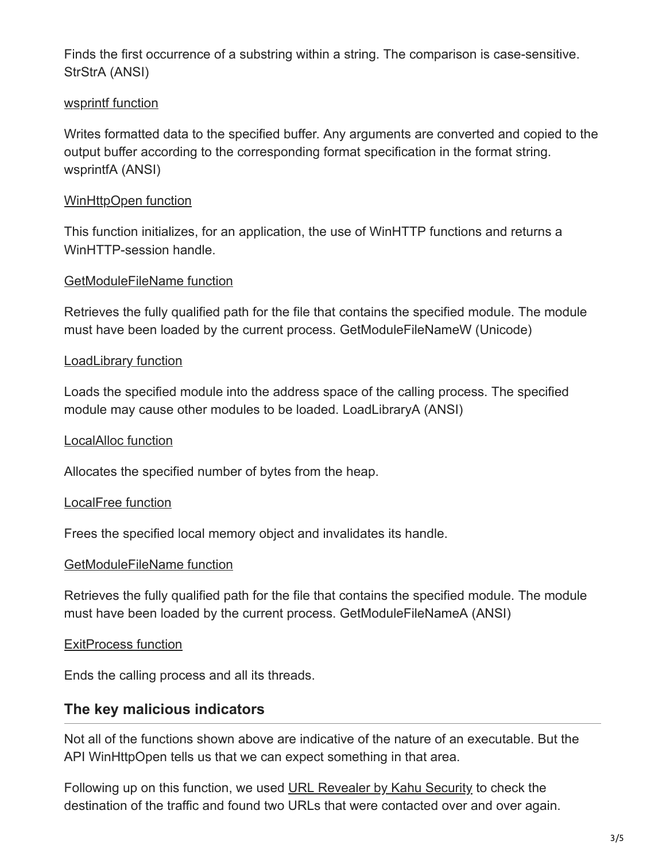Finds the first occurrence of a substring within a string. The comparison is case-sensitive. StrStrA (ANSI)

### [wsprintf function](https://msdn.microsoft.com/en-us/library/windows/desktop/ms647550(v=vs.85).aspx)

Writes formatted data to the specified buffer. Any arguments are converted and copied to the output buffer according to the corresponding format specification in the format string. wsprintfA (ANSI)

#### [WinHttpOpen function](https://msdn.microsoft.com/en-us/library/windows/desktop/aa384098(v=vs.85).aspx)

This function initializes, for an application, the use of WinHTTP functions and returns a WinHTTP-session handle.

#### [GetModuleFileName function](https://msdn.microsoft.com/nl-nl/library/windows/desktop/ms683197(v=vs.85).aspx)

Retrieves the fully qualified path for the file that contains the specified module. The module must have been loaded by the current process. GetModuleFileNameW (Unicode)

#### [LoadLibrary function](https://msdn.microsoft.com/nl-nl/library/windows/desktop/ms684175(v=vs.85).aspx)

Loads the specified module into the address space of the calling process. The specified module may cause other modules to be loaded. LoadLibraryA (ANSI)

#### [LocalAlloc function](https://msdn.microsoft.com/nl-nl/library/windows/desktop/aa366723(v=vs.85).aspx)

Allocates the specified number of bytes from the heap.

#### [LocalFree function](https://msdn.microsoft.com/nl-nl/library/windows/desktop/aa366730(v=vs.85).aspx)

Frees the specified local memory object and invalidates its handle.

#### [GetModuleFileName function](https://msdn.microsoft.com/nl-nl/library/windows/desktop/ms683197(v=vs.85).aspx)

Retrieves the fully qualified path for the file that contains the specified module. The module must have been loaded by the current process. GetModuleFileNameA (ANSI)

#### [ExitProcess function](https://msdn.microsoft.com/nl-nl/library/windows/desktop/ms682658(v=vs.85).aspx)

Ends the calling process and all its threads.

### **The key malicious indicators**

Not all of the functions shown above are indicative of the nature of an executable. But the API WinHttpOpen tells us that we can expect something in that area.

Following up on this function, we used [URL Revealer by Kahu Security](http://www.kahusecurity.com/tag/urlrevealer/) to check the destination of the traffic and found two URLs that were contacted over and over again.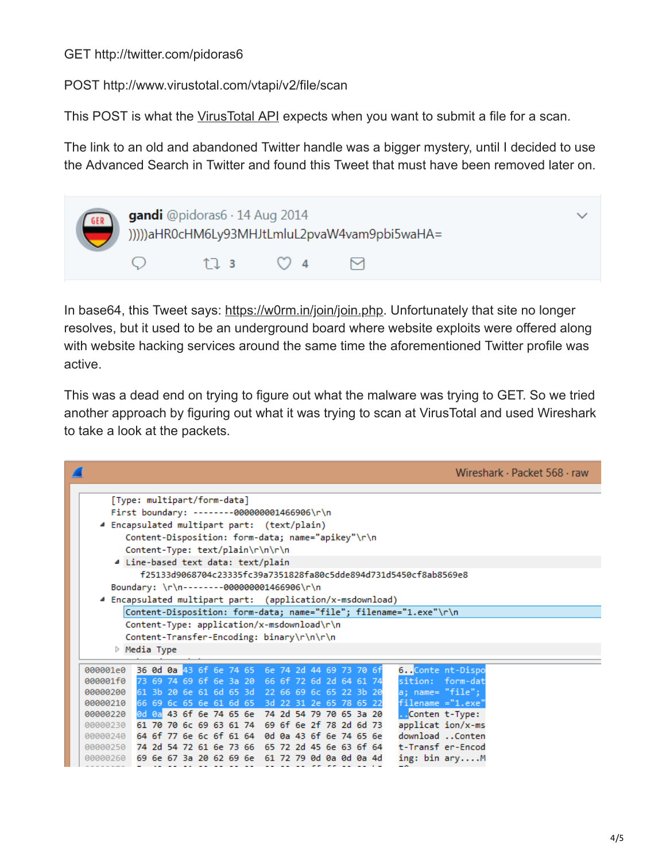#### GET http://twitter.com/pidoras6

POST http://www.virustotal.com/vtapi/v2/file/scan

This POST is what the [VirusTotal API](https://www.virustotal.com/nl/documentation/public-api/) expects when you want to submit a file for a scan.

The link to an old and abandoned Twitter handle was a bigger mystery, until I decided to use the Advanced Search in Twitter and found this Tweet that must have been removed later on.

| gandi @pidoras6 · 14 Aug 2014 |                                                   |  |  |  |  |
|-------------------------------|---------------------------------------------------|--|--|--|--|
|                               | $\uparrow$ $\uparrow$ $\uparrow$ 3 $\uparrow$ 2 4 |  |  |  |  |

In base64, this Tweet says: [https://w0rm.in/join/join.php](https://web.archive.org/web/20150104200316/http:/w0rm.in:80/join/). Unfortunately that site no longer resolves, but it used to be an underground board where website exploits were offered along with website hacking services around the same time the aforementioned Twitter profile was active.

This was a dead end on trying to figure out what the malware was trying to GET. So we tried another approach by figuring out what it was trying to scan at VirusTotal and used Wireshark to take a look at the packets.

|                                                                                     | Wireshark · Packet 568 · raw |  |  |  |  |  |  |
|-------------------------------------------------------------------------------------|------------------------------|--|--|--|--|--|--|
| [Type: multipart/form-data]                                                         |                              |  |  |  |  |  |  |
| First boundary: --------000000001466906\r\n                                         |                              |  |  |  |  |  |  |
| 4 Encapsulated multipart part: (text/plain)                                         |                              |  |  |  |  |  |  |
|                                                                                     |                              |  |  |  |  |  |  |
| Content-Disposition: form-data; name="apikey"\r\n                                   |                              |  |  |  |  |  |  |
| Content-Type: text/plain\r\n\r\n                                                    |                              |  |  |  |  |  |  |
| 4 Line-based text data: text/plain                                                  |                              |  |  |  |  |  |  |
| f25133d9068704c23335fc39a7351828fa80c5dde894d731d5450cf8ab8569e8                    |                              |  |  |  |  |  |  |
| Boundary: \r\n-------000000001466906\r\n                                            |                              |  |  |  |  |  |  |
| Encapsulated multipart part: (application/x-msdownload)                             |                              |  |  |  |  |  |  |
| Content-Disposition: form-data; name="file"; filename="1.exe"\r\n                   |                              |  |  |  |  |  |  |
| Content-Type: application/x-msdownload\r\n                                          |                              |  |  |  |  |  |  |
| Content-Transfer-Encoding: binary\r\n\r\n                                           |                              |  |  |  |  |  |  |
| $\triangleright$ Media Type                                                         |                              |  |  |  |  |  |  |
|                                                                                     |                              |  |  |  |  |  |  |
| 36 0d 0a 43 6f 6e 74 65 6e 74 2d 44 69 73 70 6f<br>6Conte nt-Dispo<br>000001e0      |                              |  |  |  |  |  |  |
| sition: form-dat<br>73 69 74 69 6f 6e 3a 20 66 6f 72 6d 2d 64 61 74<br>000001f0     |                              |  |  |  |  |  |  |
| 61 3b 20 6e 61 6d 65 3d 22 66 69 6c 65 22 3b 20<br>a; name= "file";<br>00000200     |                              |  |  |  |  |  |  |
| $filename = "1.exe"$<br>66 69 6c 65 6e 61 6d 65 3d 22 31 2e 65 78 65 22<br>00000210 |                              |  |  |  |  |  |  |
| 0d 0a 43 6f 6e 74 65 6e 74 2d 54 79 70 65 3a 20<br>. Conten t-Type:<br>00000220     |                              |  |  |  |  |  |  |
| applicat ion/x-ms<br>61 70 70 6c 69 63 61 74 69 6f 6e 2f 78 2d 6d 73<br>00000230    |                              |  |  |  |  |  |  |
| download Conten<br>00000240 64 6f 77 6e 6c 6f 61 64 0d 0a 43 6f 6e 74 65 6e         |                              |  |  |  |  |  |  |
| 74 2d 54 72 61 6e 73 66<br>65 72 2d 45 6e 63 6f 64<br>t-Transf er-Encod<br>00000250 |                              |  |  |  |  |  |  |
| ing: bin aryM<br>00000260 69 6e 67 3a 20 62 69 6e 61 72 79 0d 0a 0d 0a 4d           |                              |  |  |  |  |  |  |